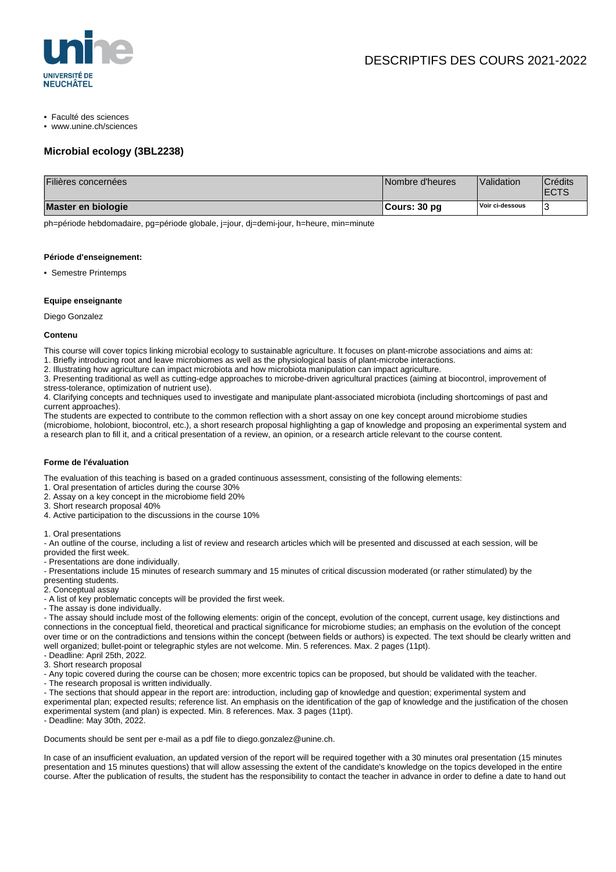

- Faculté des sciences
- www.unine.ch/sciences

# **Microbial ecology (3BL2238)**

| Filières concernées | Nombre d'heures | Validation      | <sup>'</sup> Crédits<br><b>ECTS</b> |
|---------------------|-----------------|-----------------|-------------------------------------|
| Master en biologie  | ∣Cours: 30 pq   | Voir ci-dessous |                                     |

ph=période hebdomadaire, pg=période globale, j=jour, dj=demi-jour, h=heure, min=minute

#### **Période d'enseignement:**

• Semestre Printemps

### **Equipe enseignante**

Diego Gonzalez

### **Contenu**

This course will cover topics linking microbial ecology to sustainable agriculture. It focuses on plant-microbe associations and aims at:

- 1. Briefly introducing root and leave microbiomes as well as the physiological basis of plant-microbe interactions.
- 2. Illustrating how agriculture can impact microbiota and how microbiota manipulation can impact agriculture.
- 3. Presenting traditional as well as cutting-edge approaches to microbe-driven agricultural practices (aiming at biocontrol, improvement of stress-tolerance, optimization of nutrient use).

4. Clarifying concepts and techniques used to investigate and manipulate plant-associated microbiota (including shortcomings of past and current approaches).

The students are expected to contribute to the common reflection with a short assay on one key concept around microbiome studies (microbiome, holobiont, biocontrol, etc.), a short research proposal highlighting a gap of knowledge and proposing an experimental system and a research plan to fill it, and a critical presentation of a review, an opinion, or a research article relevant to the course content.

## **Forme de l'évaluation**

The evaluation of this teaching is based on a graded continuous assessment, consisting of the following elements:

- 1. Oral presentation of articles during the course 30%
- 2. Assay on a key concept in the microbiome field 20%
- 3. Short research proposal 40%
- 4. Active participation to the discussions in the course 10%
- 1. Oral presentations

- An outline of the course, including a list of review and research articles which will be presented and discussed at each session, will be provided the first week.

- Presentations are done individually.

- Presentations include 15 minutes of research summary and 15 minutes of critical discussion moderated (or rather stimulated) by the

- presenting students.
- 2. Conceptual assay
- A list of key problematic concepts will be provided the first week.
- The assay is done individually.

- The assay should include most of the following elements: origin of the concept, evolution of the concept, current usage, key distinctions and connections in the conceptual field, theoretical and practical significance for microbiome studies; an emphasis on the evolution of the concept over time or on the contradictions and tensions within the concept (between fields or authors) is expected. The text should be clearly written and well organized; bullet-point or telegraphic styles are not welcome. Min. 5 references. Max. 2 pages (11pt).

- Deadline: April 25th, 2022.
- 3. Short research proposal

- Any topic covered during the course can be chosen; more excentric topics can be proposed, but should be validated with the teacher.

- The research proposal is written individually.
- The sections that should appear in the report are: introduction, including gap of knowledge and question; experimental system and

experimental plan; expected results; reference list. An emphasis on the identification of the gap of knowledge and the justification of the chosen experimental system (and plan) is expected. Min. 8 references. Max. 3 pages (11pt).

- Deadline: May 30th, 2022.

Documents should be sent per e-mail as a pdf file to diego.gonzalez@unine.ch.

In case of an insufficient evaluation, an updated version of the report will be required together with a 30 minutes oral presentation (15 minutes presentation and 15 minutes questions) that will allow assessing the extent of the candidate's knowledge on the topics developed in the entire course. After the publication of results, the student has the responsibility to contact the teacher in advance in order to define a date to hand out